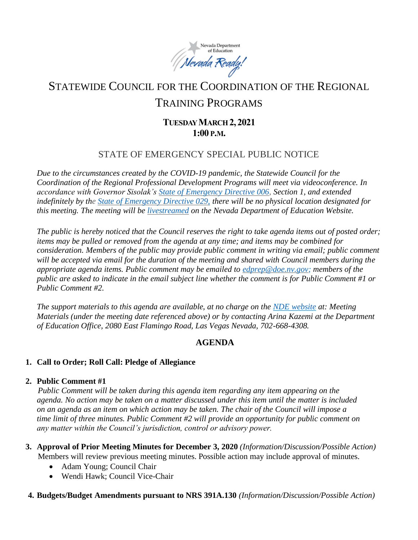

# STATEWIDE COUNCIL FOR THE COORDINATION OF THE REGIONAL TRAINING PROGRAMS

# **TUESDAY MARCH 2, 2021 1:00 P.M.**

## STATE OF EMERGENCY SPECIAL PUBLIC NOTICE

*Due to the circumstances created by the COVID-19 pandemic, the Statewide Council for the Coordination of the Regional Professional Development Programs will meet via videoconference. In accordance with Governor Sisolak's [State of Emergency Directive 006,](http://gov.nv.gov/News/Emergency_Orders/2020/2020-03-22_-_COVID-19_Declaration_of_Emergency_Directive_006/) Section 1, and extended indefinitely by the [State of Emergency Directive 029,](http://gov.nv.gov/News/Emergency_Orders/2020/2020-06-29_-_COVID-19_Declaration_of_Emergency_Directive_026/) there will be no physical location designated for this meeting. The meeting will be [livestreamed](http://www.doe.nv.gov/Boards_Commissions_Councils/Statewide_Council_Reg_Training/Meeting_Materials/) on the Nevada Department of Education Website.*

*The public is hereby noticed that the Council reserves the right to take agenda items out of posted order; items may be pulled or removed from the agenda at any time; and items may be combined for consideration. Members of the public may provide public comment in writing via email; public comment will be accepted via email for the duration of the meeting and shared with Council members during the appropriate agenda items. Public comment may be emailed to [edprep@doe.nv.gov;](mailto:edprep@doe.nv.gov) members of the public are asked to indicate in the email subject line whether the comment is for Public Comment #1 or Public Comment #2.* 

*The support materials to this agenda are available, at no charge on the [NDE website](http://www.doe.nv.gov/Boards_Commissions_Councils/Statewide_Council_Reg_Training/Statewide_Council_for_the_Coordination_of_Regional_Training_Programs/) at: Meeting Materials (under the meeting date referenced above) or by contacting Arina Kazemi at the Department of Education Office, 2080 East Flamingo Road, Las Vegas Nevada, 702-668-4308.* 

## **AGENDA**

### **1. Call to Order; Roll Call: Pledge of Allegiance**

#### **2. Public Comment #1**

*Public Comment will be taken during this agenda item regarding any item appearing on the agenda. No action may be taken on a matter discussed under this item until the matter is included on an agenda as an item on which action may be taken. The chair of the Council will impose a time limit of three minutes. Public Comment #2 will provide an opportunity for public comment on any matter within the Council's jurisdiction, control or advisory power.*

- **3. Approval of Prior Meeting Minutes for December 3, 2020** *(Information/Discussion/Possible Action)* Members will review previous meeting minutes. Possible action may include approval of minutes.
	- Adam Young; Council Chair
	- Wendi Hawk; Council Vice-Chair

#### **4. Budgets/Budget Amendments pursuant to NRS 391A.130** *(Information/Discussion/Possible Action)*